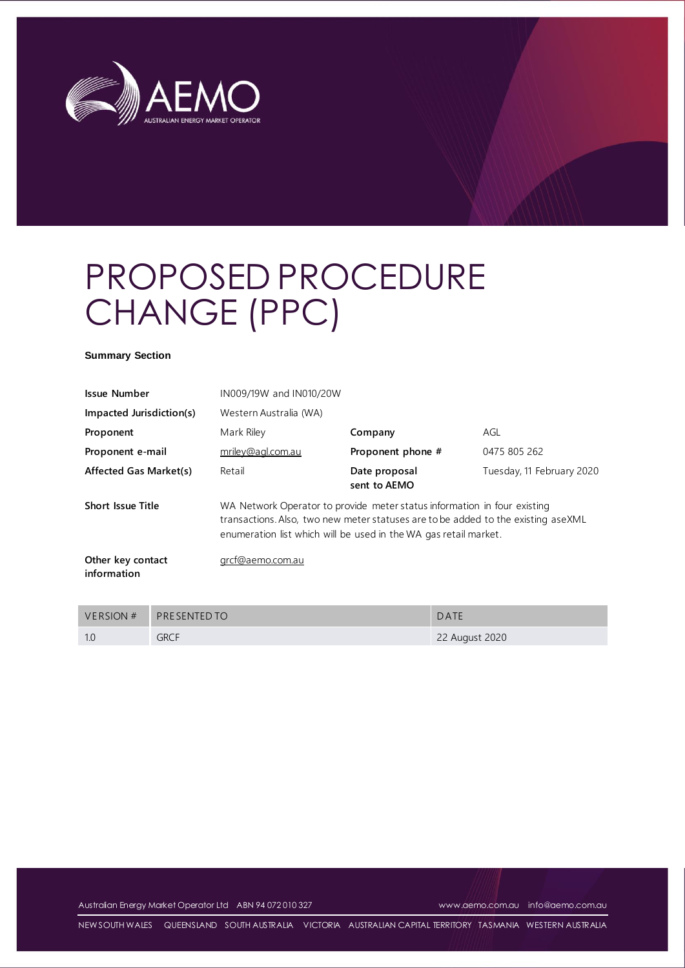

# PROPOSED PROCEDURE CHANGE (PPC)

#### **Summary Section**

| <b>Issue Number</b>              | IN009/19W and IN010/20W                                                                                                                                                                                                           |                               |                           |  |  |  |
|----------------------------------|-----------------------------------------------------------------------------------------------------------------------------------------------------------------------------------------------------------------------------------|-------------------------------|---------------------------|--|--|--|
| Impacted Jurisdiction(s)         | Western Australia (WA)                                                                                                                                                                                                            |                               |                           |  |  |  |
| Proponent                        | Mark Riley                                                                                                                                                                                                                        | Company                       | AGL                       |  |  |  |
| Proponent e-mail                 | mriley@agl.com.au                                                                                                                                                                                                                 | Proponent phone #             | 0475 805 262              |  |  |  |
| Affected Gas Market(s)           | Retail                                                                                                                                                                                                                            | Date proposal<br>sent to AEMO | Tuesday, 11 February 2020 |  |  |  |
| <b>Short Issue Title</b>         | WA Network Operator to provide meter status information in four existing<br>transactions. Also, two new meter statuses are to be added to the existing aseXML<br>enumeration list which will be used in the WA gas retail market. |                               |                           |  |  |  |
| Other key contact<br>information | grcf@aemo.com.au                                                                                                                                                                                                                  |                               |                           |  |  |  |

| VERSION # | <b>PRESENTED TO</b> | DATE           |
|-----------|---------------------|----------------|
| 1.0       | <b>GRCF</b>         | 22 August 2020 |

Australian Energy Market Operator Ltd ABN 94 072 010 327 [www.aemo.com.au](http://www.aemo.com.au/) [info@aemo.com.au](mailto:info@aemo.com.au)

NEW SOUTH WALES QUEENSLAND SOUTH AUSTRALIA VICTORIA AUSTRALIAN CAPITAL TERRITORY TASMANIA WESTERN AUSTRALIA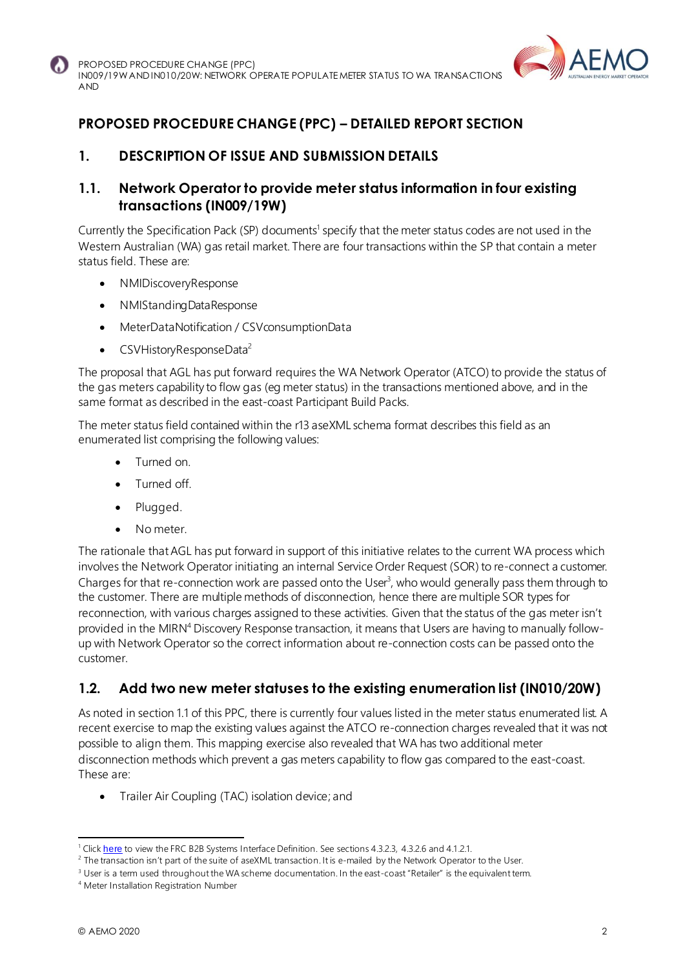

## **PROPOSED PROCEDURE CHANGE (PPC) – DETAILED REPORT SECTION**

## **1. DESCRIPTION OF ISSUE AND SUBMISSION DETAILS**

## **1.1. Network Operator to provide meter status information in four existing transactions (IN009/19W)**

Currently the Specification Pack (SP) documents<sup>1</sup> specify that the meter status codes are not used in the Western Australian (WA) gas retail market. There are four transactions within the SP that contain a meter status field. These are:

- NMIDiscoveryResponse
- NMIStandingDataResponse
- MeterDataNotification / CSVconsumptionData
- CSVHistoryResponseData<sup>2</sup>

The proposal that AGL has put forward requires the WA Network Operator (ATCO) to provide the status of the gas meters capability to flow gas (eg meter status) in the transactions mentioned above, and in the same format as described in the east-coast Participant Build Packs.

The meter status field contained within the r13 aseXML schema format describes this field as an enumerated list comprising the following values:

- Turned on.
- Turned off.
- Plugged.
- No meter.

The rationale that AGL has put forward in support of this initiative relates to the current WA process which involves the Network Operator initiating an internal Service Order Request (SOR) to re-connect a customer. Charges for that re-connection work are passed onto the User<sup>3</sup>, who would generally pass them through to the customer. There are multiple methods of disconnection, hence there are multiple SOR types for reconnection, with various charges assigned to these activities. Given that the status of the gas meter isn't provided in the MIRN<sup>4</sup> Discovery Response transaction, it means that Users are having to manually followup with Network Operator so the correct information about re-connection costs can be passed onto the customer.

## **1.2. Add two new meter statuses to the existing enumeration list (IN010/20W)**

As noted in section 1.1 of this PPC, there is currently four values listed in the meter status enumerated list. A recent exercise to map the existing values against the ATCO re-connection charges revealed that it was not possible to align them. This mapping exercise also revealed that WA has two additional meter disconnection methods which prevent a gas meters capability to flow gas compared to the east-coast. These are:

• Trailer Air Coupling (TAC) isolation device; and

<sup>&</sup>lt;sup>1</sup> Click [here](https://aemo.com.au/-/media/files/gas/retail_markets_and_metering/market-procedures/sa_and_wa/2020/frc-b2b-system-interface-definitions-v46.pdf?la=en) to view the FRC B2B Systems Interface Definition. See sections 4.3.2.3, 4.3.2.6 and 4.1.2.1.

<sup>&</sup>lt;sup>2</sup> The transaction isn't part of the suite of aseXML transaction. It is e-mailed by the Network Operator to the User.

<sup>&</sup>lt;sup>3</sup> User is a term used throughout the WA scheme documentation. In the east-coast "Retailer" is the equivalent term.

<sup>4</sup> Meter Installation Registration Number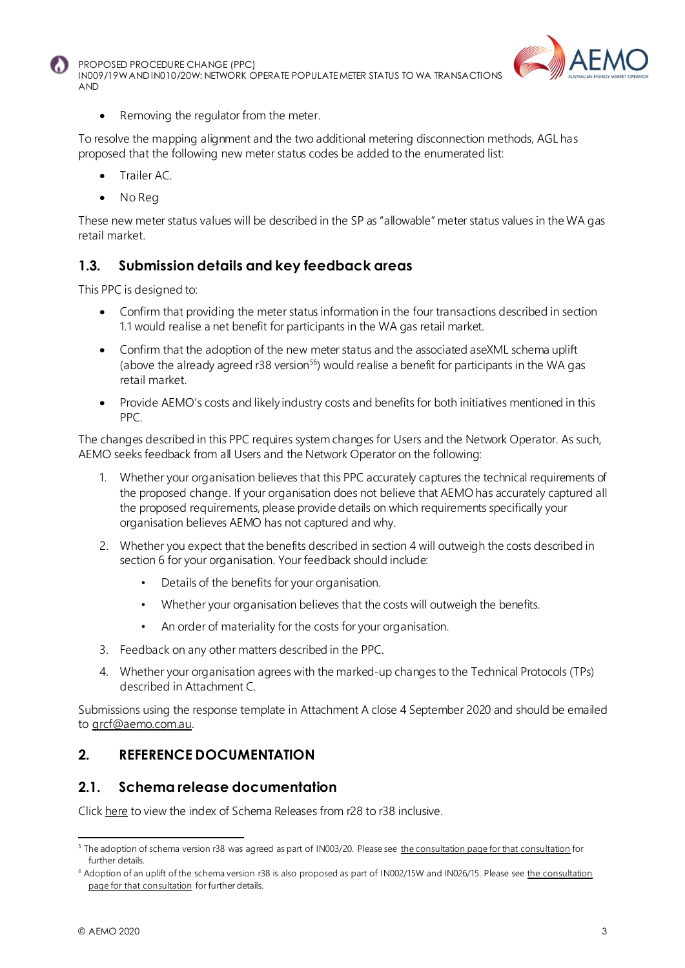



Removing the regulator from the meter.

To resolve the mapping alignment and the two additional metering disconnection methods, AGL has proposed that the following new meter status codes be added to the enumerated list:

- Trailer AC.
- No Reg

These new meter status values will be described in the SP as "allowable" meter status values in the WA gas retail market.

## **1.3. Submission details and key feedback areas**

This PPC is designed to:

- Confirm that providing the meter status information in the four transactions described in section 1.1 would realise a net benefit for participants in the WA gas retail market.
- Confirm that the adoption of the new meter status and the associated aseXML schema uplift (above the already agreed  $r38$  version<sup>56</sup>) would realise a benefit for participants in the WA gas retail market.
- Provide AEMO's costs and likely industry costs and benefits for both initiatives mentioned in this PPC.

The changes described in this PPC requires system changes for Users and the Network Operator. As such, AEMO seeks feedback from all Users and the Network Operator on the following:

- 1. Whether your organisation believes that this PPC accurately captures the technical requirements of the proposed change. If your organisation does not believe that AEMO has accurately captured all the proposed requirements, please provide details on which requirements specifically your organisation believes AEMO has not captured and why.
- 2. Whether you expect that the benefits described in section 4 will outweigh the costs described in section 6 for your organisation. Your feedback should include:
	- Details of the benefits for your organisation.
	- Whether your organisation believes that the costs will outweigh the benefits.
	- An order of materiality for the costs for your organisation.
- 3. Feedback on any other matters described in the PPC.
- 4. Whether your organisation agrees with the marked-up changes to the Technical Protocols (TPs) described in Attachment C.

Submissions using the response template in Attachment A close 4 September 2020 and should be emailed to [grcf@aemo.com.au](mailto:grcf@aemo.com.au).

#### **2. REFERENCE DOCUMENTATION**

#### **2.1. Schema release documentation**

Clic[k here](https://aemo.com.au/energy-systems/market-it-systems/asexml-standards/asexml-schemas/) to view the index of Schema Releases from r28 to r38 inclusive.

<sup>&</sup>lt;sup>5</sup> The adoption of schema version r38 was agreed as part of IN003/20. Please see [the consultation page for that consultation](https://aemo.com.au/en/consultations/current-and-closed-consultations/in003-20-gas-life-support) for further details.

<sup>&</sup>lt;sup>6</sup> Adoption of an uplift of the schema version r38 is also proposed as part of IN002/15W and IN026/15. Please see the consultation [page for that consultation](https://aemo.com.au/consultations/current-and-closed-consultations/in002-15w-in026-15) for further details.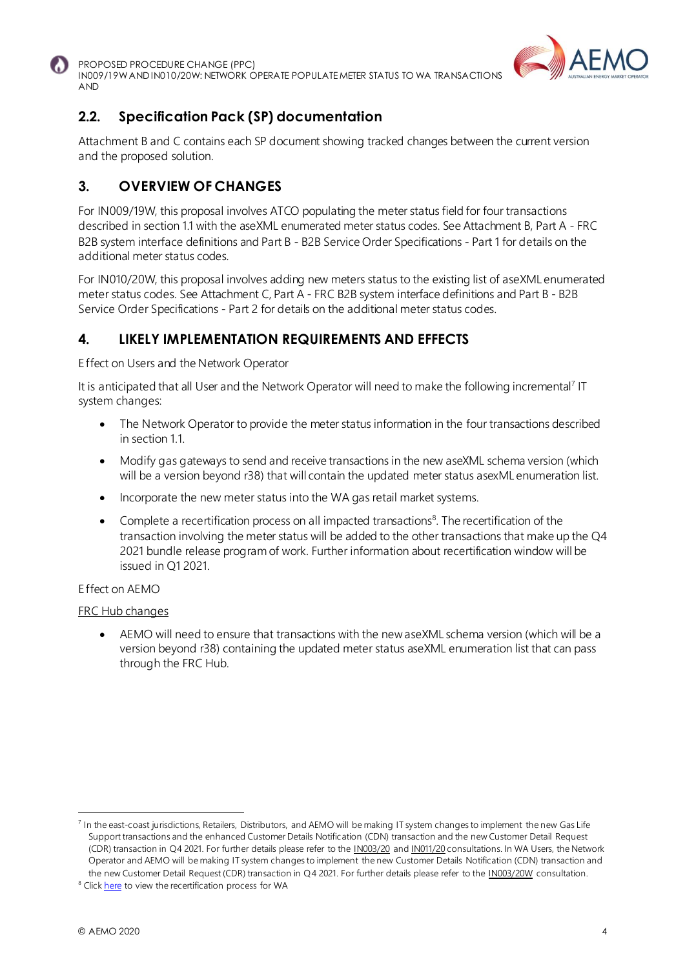



## **2.2. Specification Pack (SP) documentation**

Attachment B and C contains each SP document showing tracked changes between the current version and the proposed solution.

## **3. OVERVIEW OF CHANGES**

For IN009/19W, this proposal involves ATCO populating the meter status field for four transactions described in section 1.1 with the aseXML enumerated meter status codes. See Attachment B, Part A - FRC B2B system interface definitions and Part B - B2B Service Order Specifications - Part 1 for details on the additional meter status codes.

For IN010/20W, this proposal involves adding new meters status to the existing list of aseXML enumerated meter status codes. See Attachment C, Part A - FRC B2B system interface definitions and Part B - B2B Service Order Specifications - Part 2 for details on the additional meter status codes.

## **4. LIKELY IMPLEMENTATION REQUIREMENTS AND EFFECTS**

Effect on Users and the Network Operator

It is anticipated that all User and the Network Operator will need to make the following incremental<sup>7</sup> IT system changes:

- The Network Operator to provide the meter status information in the four transactions described in section 1.1.
- Modify gas gateways to send and receive transactions in the new aseXML schema version (which will be a version beyond r38) that will contain the updated meter status asexML enumeration list.
- Incorporate the new meter status into the WA gas retail market systems.
- Complete a recertification process on all impacted transactions<sup>8</sup>. The recertification of the transaction involving the meter status will be added to the other transactions that make up the Q4 2021 bundle release program of work. Further information about recertification window will be issued in Q1 2021.

#### Effect on AEMO

#### FRC Hub changes

• AEMO will need to ensure that transactions with the new aseXML schema version (which will be a version beyond r38) containing the updated meter status aseXML enumeration list that can pass through the FRC Hub.

<sup>&</sup>lt;sup>7</sup> In the east-coast jurisdictions, Retailers, Distributors, and AEMO will be making IT system changes to implement the new Gas Life Support transactions and the enhanced Customer Details Notification (CDN) transaction and the new Customer Detail Request (CDR) transaction in Q4 2021. For further details please refer to the [IN003/20](https://aemo.com.au/consultations/current-and-closed-consultations/in003-20-gas-life-support) an[d IN011/20](https://aemo.com.au/consultations/current-and-closed-consultations/in011-20-cdn-and-cdr-changes) consultations. In WA Users, the Network Operator and AEMO will be making IT system changes to implement the new Customer Details Notification (CDN) transaction and the new Customer Detail Request (CDR) transaction in Q4 2021. For further details please refer to the **IN003/20W** consultation.

<sup>&</sup>lt;sup>8</sup> Click [here](https://aemo.com.au/-/media/files/gas/retail_markets_and_metering/market-procedures/wa/2020/connectivity-testing-and-technical-certification-wa-only-v37-clean.pdf?la=en) to view the recertification process for WA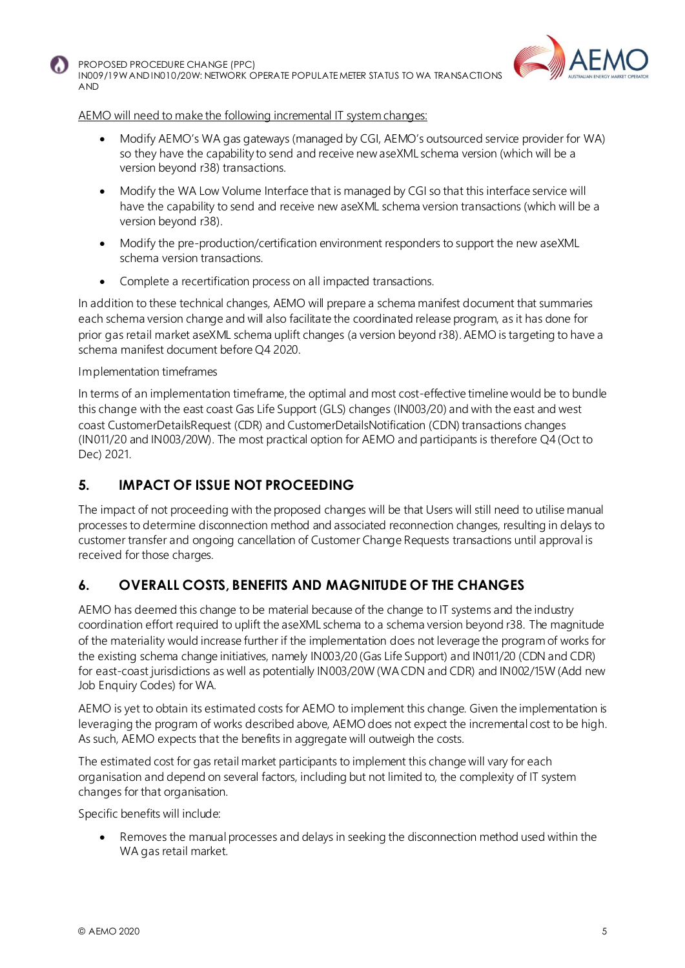



#### AEMO will need to make the following incremental IT system changes:

- Modify AEMO's WA gas gateways (managed by CGI, AEMO's outsourced service provider for WA) so they have the capability to send and receive new aseXML schema version (which will be a version beyond r38) transactions.
- Modify the WA Low Volume Interface that is managed by CGI so that this interface service will have the capability to send and receive new aseXML schema version transactions (which will be a version beyond r38).
- Modify the pre-production/certification environment responders to support the new aseXML schema version transactions.
- Complete a recertification process on all impacted transactions.

In addition to these technical changes, AEMO will prepare a schema manifest document that summaries each schema version change and will also facilitate the coordinated release program, as it has done for prior gas retail market aseXML schema uplift changes (a version beyond r38). AEMO is targeting to have a schema manifest document before Q4 2020.

#### Implementation timeframes

In terms of an implementation timeframe, the optimal and most cost-effective timeline would be to bundle this change with the east coast Gas Life Support (GLS) changes (IN003/20) and with the east and west coast CustomerDetailsRequest (CDR) and CustomerDetailsNotification (CDN) transactions changes (IN011/20 and IN003/20W). The most practical option for AEMO and participants is therefore Q4 (Oct to Dec) 2021.

## **5. IMPACT OF ISSUE NOT PROCEEDING**

The impact of not proceeding with the proposed changes will be that Users will still need to utilise manual processes to determine disconnection method and associated reconnection changes, resulting in delays to customer transfer and ongoing cancellation of Customer Change Requests transactions until approval is received for those charges.

## **6. OVERALL COSTS, BENEFITS AND MAGNITUDE OF THE CHANGES**

AEMO has deemed this change to be material because of the change to IT systems and the industry coordination effort required to uplift the aseXML schema to a schema version beyond r38. The magnitude of the materiality would increase further if the implementation does not leverage the program of works for the existing schema change initiatives, namely IN003/20 (Gas Life Support) and IN011/20 (CDN and CDR) for east-coast jurisdictions as well as potentially IN003/20W (WA CDN and CDR) and IN002/15W (Add new Job Enquiry Codes) for WA.

AEMO is yet to obtain its estimated costs for AEMO to implement this change. Given the implementation is leveraging the program of works described above, AEMO does not expect the incremental cost to be high. As such, AEMO expects that the benefits in aggregate will outweigh the costs.

The estimated cost for gas retail market participants to implement this change will vary for each organisation and depend on several factors, including but not limited to, the complexity of IT system changes for that organisation.

Specific benefits will include:

• Removes the manual processes and delays in seeking the disconnection method used within the WA gas retail market.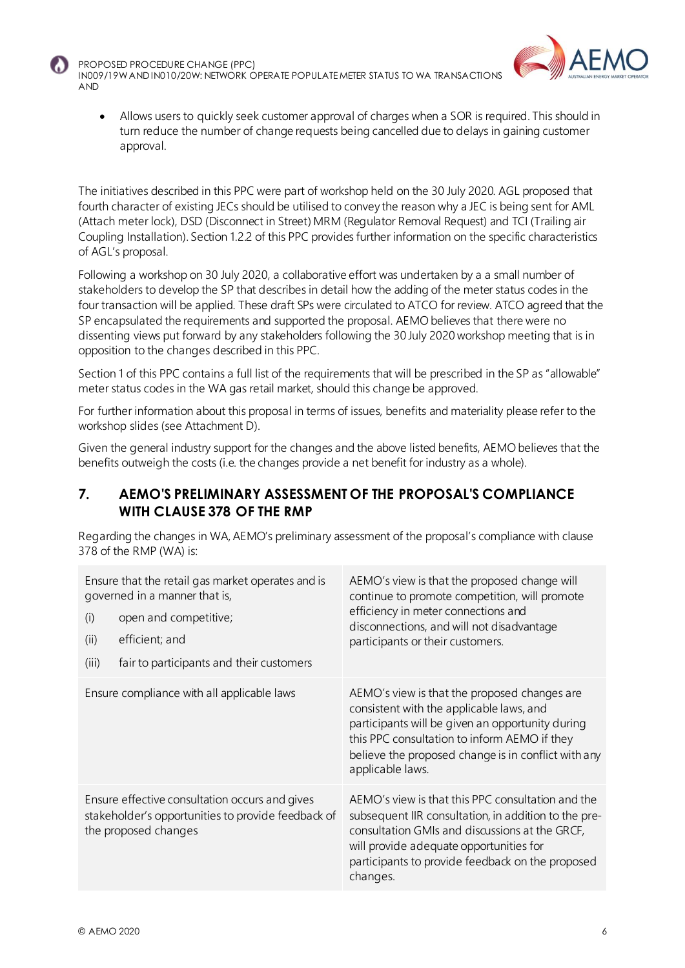



• Allows users to quickly seek customer approval of charges when a SOR is required. This should in turn reduce the number of change requests being cancelled due to delays in gaining customer approval.

The initiatives described in this PPC were part of workshop held on the 30 July 2020. AGL proposed that fourth character of existing JECs should be utilised to convey the reason why a JEC is being sent for AML (Attach meter lock), DSD (Disconnect in Street) MRM (Regulator Removal Request) and TCI (Trailing air Coupling Installation). Section 1.2.2 of this PPC provides further information on the specific characteristics of AGL's proposal.

Following a workshop on 30 July 2020, a collaborative effort was undertaken by a a small number of stakeholders to develop the SP that describes in detail how the adding of the meter status codes in the four transaction will be applied. These draft SPs were circulated to ATCO for review. ATCO agreed that the SP encapsulated the requirements and supported the proposal. AEMO believes that there were no dissenting views put forward by any stakeholders following the 30 July 2020 workshop meeting that is in opposition to the changes described in this PPC.

Section 1 of this PPC contains a full list of the requirements that will be prescribed in the SP as "allowable" meter status codes in the WA gas retail market, should this change be approved.

For further information about this proposal in terms of issues, benefits and materiality please refer to the workshop slides (see Attachment D).

Given the general industry support for the changes and the above listed benefits, AEMO believes that the benefits outweigh the costs (i.e. the changes provide a net benefit for industry as a whole).

#### **7. AEMO'S PRELIMINARY ASSESSMENT OF THE PROPOSAL'S COMPLIANCE WITH CLAUSE 378 OF THE RMP**

Regarding the changes in WA, AEMO's preliminary assessment of the proposal's compliance with clause 378 of the RMP (WA) is:

| Ensure that the retail gas market operates and is<br>governed in a manner that is,<br>open and competitive;<br>(i)<br>efficient; and<br>(ii)<br>fair to participants and their customers<br>(iii) | AEMO's view is that the proposed change will<br>continue to promote competition, will promote<br>efficiency in meter connections and<br>disconnections, and will not disadvantage<br>participants or their customers.                                                   |
|---------------------------------------------------------------------------------------------------------------------------------------------------------------------------------------------------|-------------------------------------------------------------------------------------------------------------------------------------------------------------------------------------------------------------------------------------------------------------------------|
| Ensure compliance with all applicable laws                                                                                                                                                        | AEMO's view is that the proposed changes are<br>consistent with the applicable laws, and<br>participants will be given an opportunity during<br>this PPC consultation to inform AEMO if they<br>believe the proposed change is in conflict with any<br>applicable laws. |
| Ensure effective consultation occurs and gives<br>stakeholder's opportunities to provide feedback of<br>the proposed changes                                                                      | AEMO's view is that this PPC consultation and the<br>subsequent IIR consultation, in addition to the pre-<br>consultation GMIs and discussions at the GRCF,<br>will provide adequate opportunities for<br>participants to provide feedback on the proposed<br>changes.  |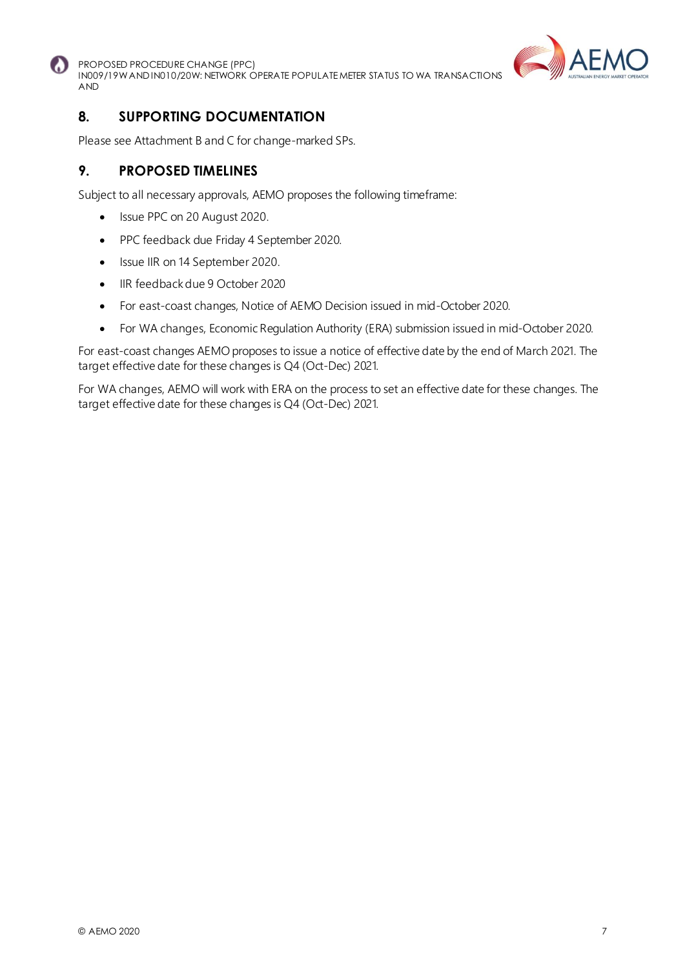



## **8. SUPPORTING DOCUMENTATION**

Please see Attachment B and C for change-marked SPs.

#### **9. PROPOSED TIMELINES**

Subject to all necessary approvals, AEMO proposes the following timeframe:

- Issue PPC on 20 August 2020.
- PPC feedback due Friday 4 September 2020.
- Issue IIR on 14 September 2020.
- IIR feedback due 9 October 2020
- For east-coast changes, Notice of AEMO Decision issued in mid-October 2020.
- For WA changes, Economic Regulation Authority (ERA) submission issued in mid-October 2020.

For east-coast changes AEMO proposes to issue a notice of effective date by the end of March 2021. The target effective date for these changes is Q4 (Oct-Dec) 2021.

For WA changes, AEMO will work with ERA on the process to set an effective date for these changes. The target effective date for these changes is Q4 (Oct-Dec) 2021.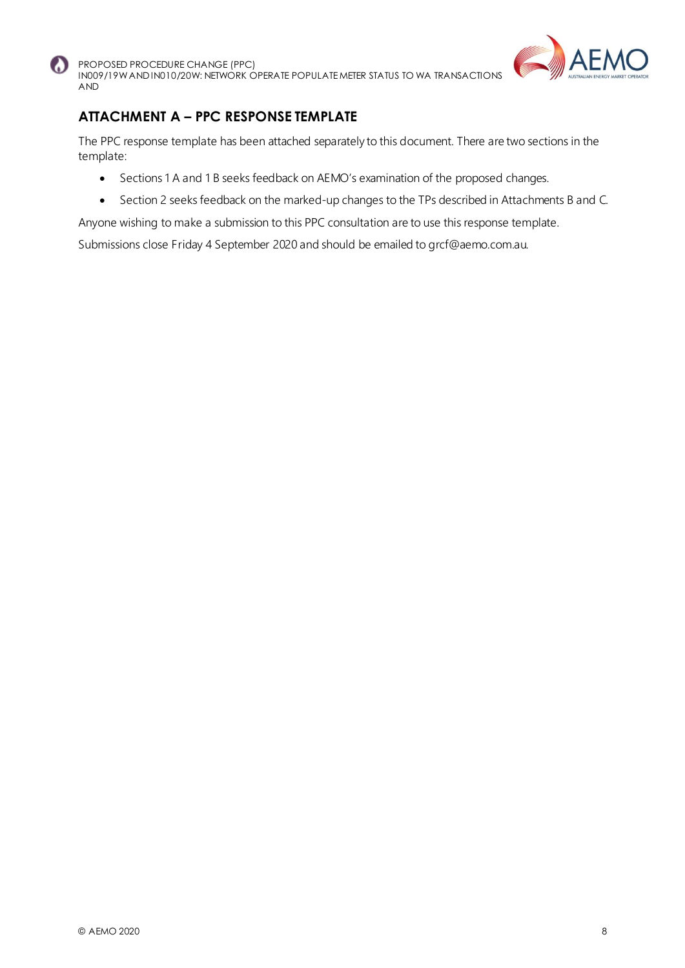



## **ATTACHMENT A – PPC RESPONSE TEMPLATE**

The PPC response template has been attached separately to this document. There are two sections in the template:

- Sections 1 A and 1 B seeks feedback on AEMO's examination of the proposed changes.
- Section 2 seeks feedback on the marked-up changes to the TPs described in Attachments B and C.

Anyone wishing to make a submission to this PPC consultation are to use this response template.

Submissions close Friday 4 September 2020 and should be emailed to grcf@aemo.com.au.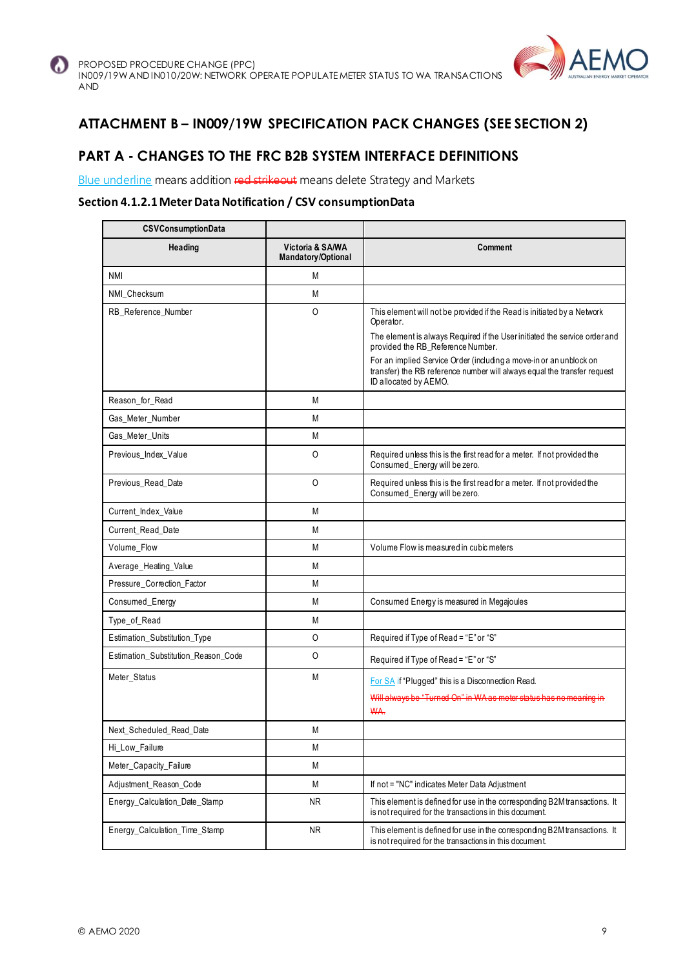



## **ATTACHMENT B – IN009/19W SPECIFICATION PACK CHANGES (SEE SECTION 2)**

## **PART A - CHANGES TO THE FRC B2B SYSTEM INTERFACE DEFINITIONS**

Blue underline means addition red strikeout means delete Strategy and Markets

#### **Section 4.1.2.1 Meter Data Notification / CSV consumptionData**

| <b>CSVConsumptionData</b>           |                                        |                                                                                                                                                                         |
|-------------------------------------|----------------------------------------|-------------------------------------------------------------------------------------------------------------------------------------------------------------------------|
| Heading                             | Victoria & SA/WA<br>Mandatory/Optional | Comment                                                                                                                                                                 |
| <b>NMI</b>                          | M                                      |                                                                                                                                                                         |
| NMI Checksum                        | M                                      |                                                                                                                                                                         |
| RB_Reference_Number                 | 0                                      | This element will not be provided if the Read is initiated by a Network<br>Operator.                                                                                    |
|                                     |                                        | The element is always Required if the User initiated the service order and<br>provided the RB_Reference Number.                                                         |
|                                     |                                        | For an implied Service Order (including a move-in or an unblock on<br>transfer) the RB reference number will always equal the transfer request<br>ID allocated by AEMO. |
| Reason_for_Read                     | M                                      |                                                                                                                                                                         |
| Gas_Meter_Number                    | M                                      |                                                                                                                                                                         |
| Gas_Meter_Units                     | M                                      |                                                                                                                                                                         |
| Previous_Index_Value                | 0                                      | Required unless this is the first read for a meter. If not provided the<br>Consumed_Energy will be zero.                                                                |
| Previous_Read_Date                  | 0                                      | Required unless this is the first read for a meter. If not provided the<br>Consumed_Energy will be zero.                                                                |
| Current_Index_Value                 | M                                      |                                                                                                                                                                         |
| Current Read Date                   | M                                      |                                                                                                                                                                         |
| Volume_Flow                         | M                                      | Volume Flow is measured in cubic meters                                                                                                                                 |
| Average_Heating_Value               | M                                      |                                                                                                                                                                         |
| Pressure_Correction_Factor          | M                                      |                                                                                                                                                                         |
| Consumed_Energy                     | M                                      | Consumed Energy is measured in Megajoules                                                                                                                               |
| Type_of_Read                        | М                                      |                                                                                                                                                                         |
| Estimation_Substitution_Type        | O                                      | Required if Type of Read = "E" or "S"                                                                                                                                   |
| Estimation_Substitution_Reason_Code | 0                                      | Required if Type of Read = "E" or "S"                                                                                                                                   |
| Meter_Status                        | M                                      | For SA if "Plugged" this is a Disconnection Read.                                                                                                                       |
|                                     |                                        | Will always be "Turned On" in WA as moter status has no meaning in                                                                                                      |
|                                     |                                        | <b>WA.</b>                                                                                                                                                              |
| Next_Scheduled_Read_Date            | M                                      |                                                                                                                                                                         |
| Hi_Low_Failure                      | M                                      |                                                                                                                                                                         |
| Meter_Capacity_Failure              | M                                      |                                                                                                                                                                         |
| Adjustment_Reason_Code              | М                                      | If not = "NC" indicates Meter Data Adjustment                                                                                                                           |
| Energy Calculation Date Stamp       | <b>NR</b>                              | This element is defined for use in the corresponding B2M transactions. It<br>is not required for the transactions in this document.                                     |
| Energy_Calculation_Time_Stamp       | <b>NR</b>                              | This element is defined for use in the corresponding B2M transactions. It<br>is not required for the transactions in this document.                                     |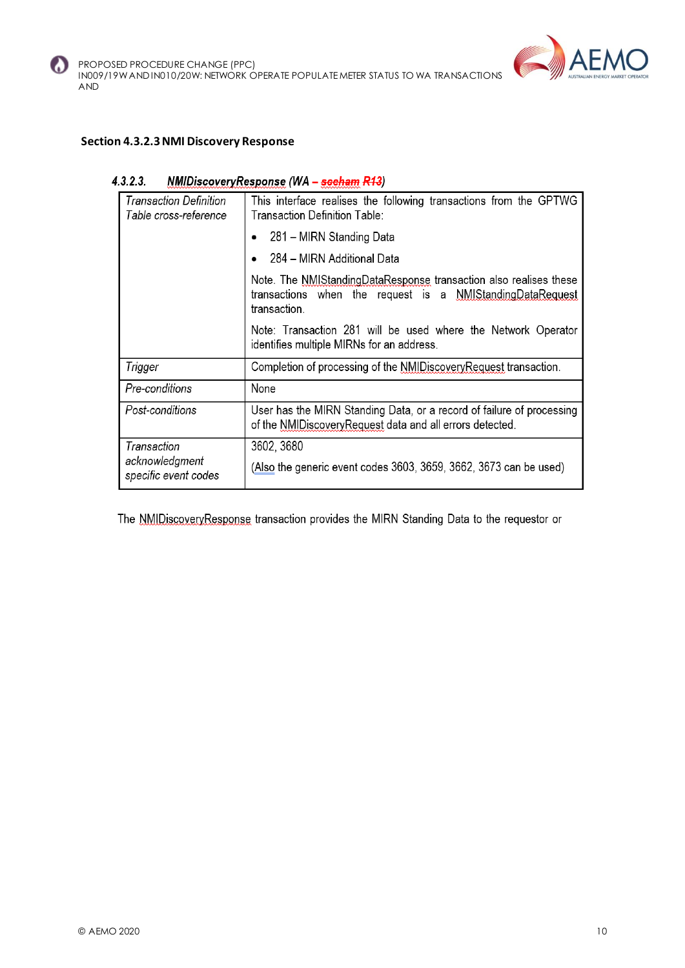



#### **Section 4.3.2.3 NMI Discovery Response**

#### $4.3.2.3.$ NMIDiscoveryResponse (WA - seeham R13)

| Transaction Definition<br>Table cross-reference | This interface realises the following transactions from the GPTWG<br>Transaction Definition Table:                                             |  |  |  |
|-------------------------------------------------|------------------------------------------------------------------------------------------------------------------------------------------------|--|--|--|
|                                                 | 281 – MIRN Standing Data                                                                                                                       |  |  |  |
|                                                 | 284 – MIRN Additional Data                                                                                                                     |  |  |  |
|                                                 | Note. The NMIStandingDataResponse transaction also realises these<br>transactions when the request is a NMIStandingDataRequest<br>transaction. |  |  |  |
|                                                 | Note: Transaction 281 will be used where the Network Operator<br>identifies multiple MIRNs for an address.                                     |  |  |  |
| Trigger                                         | Completion of processing of the NMIDiscovery Request transaction.                                                                              |  |  |  |
| Pre-conditions                                  | None                                                                                                                                           |  |  |  |
| Post-conditions                                 | User has the MIRN Standing Data, or a record of failure of processing<br>of the NMIDiscovery Request data and all errors detected.             |  |  |  |
| Transaction                                     | 3602, 3680                                                                                                                                     |  |  |  |
| acknowledgment<br>specific event codes          | (Also the generic event codes 3603, 3659, 3662, 3673 can be used)                                                                              |  |  |  |

The NMIDiscoveryResponse transaction provides the MIRN Standing Data to the requestor or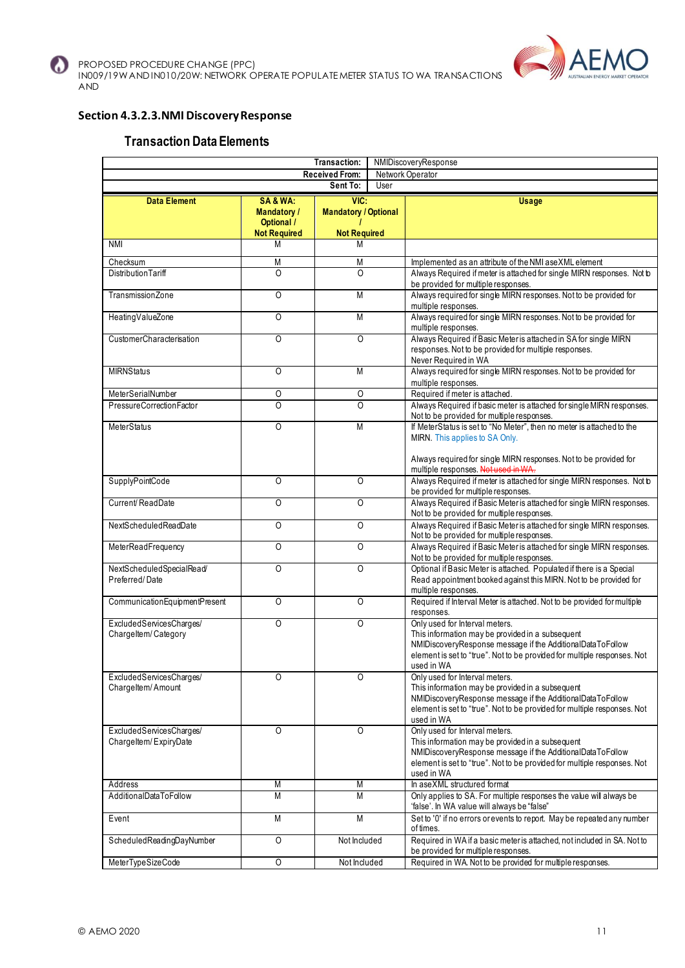



#### **Section 4.3.2.3.NMI Discovery Response**

#### **Transaction Data Elements**

|                                                   | Transaction:<br>NMIDiscoveryResponse                                     |                                                            |      |                                                                                                                                                                                                                                            |  |
|---------------------------------------------------|--------------------------------------------------------------------------|------------------------------------------------------------|------|--------------------------------------------------------------------------------------------------------------------------------------------------------------------------------------------------------------------------------------------|--|
|                                                   |                                                                          | <b>Received From:</b><br>Sent To:                          | User | Network Operator                                                                                                                                                                                                                           |  |
|                                                   |                                                                          |                                                            |      |                                                                                                                                                                                                                                            |  |
| <b>Data Element</b>                               | SA&WA:<br><b>Mandatory /</b><br><b>Optional</b> /<br><b>Not Required</b> | VIC:<br><b>Mandatory / Optional</b><br><b>Not Required</b> |      | <b>Usage</b>                                                                                                                                                                                                                               |  |
| <b>NMI</b>                                        | M                                                                        | М                                                          |      |                                                                                                                                                                                                                                            |  |
| Checksum                                          | M                                                                        | M                                                          |      | Implemented as an attribute of the NMI aseXML element                                                                                                                                                                                      |  |
| <b>Distribution Tariff</b>                        | $\Omega$                                                                 | $\overline{0}$                                             |      | Always Required if meter is attached for single MIRN responses. Not to<br>be provided for multiple responses.                                                                                                                              |  |
| TransmissionZone                                  | O                                                                        | M                                                          |      | Always required for single MIRN responses. Not to be provided for<br>multiple responses.                                                                                                                                                   |  |
| HeatingValueZone                                  | O                                                                        | M                                                          |      | Always required for single MIRN responses. Not to be provided for<br>multiple responses.                                                                                                                                                   |  |
| CustomerCharacterisation                          | O                                                                        | $\overline{0}$                                             |      | Always Required if Basic Meter is attached in SA for single MIRN<br>responses. Not to be provided for multiple responses.<br>Never Required in WA                                                                                          |  |
| <b>MIRNStatus</b>                                 | O                                                                        | M                                                          |      | Always required for single MIRN responses. Not to be provided for<br>multiple responses.                                                                                                                                                   |  |
| MeterSerialNumber                                 | 0                                                                        | $\overline{0}$                                             |      | Required if meter is attached.                                                                                                                                                                                                             |  |
| PressureCorrectionFactor                          | Ō                                                                        | $\overline{0}$                                             |      | Always Required if basic meter is attached for single MIRN responses.<br>Not to be provided for multiple responses.                                                                                                                        |  |
| <b>MeterStatus</b>                                | O                                                                        | M                                                          |      | If MeterStatus is set to "No Meter", then no meter is attached to the<br>MIRN This applies to SA Only.<br>Always required for single MIRN responses. Not to be provided for                                                                |  |
|                                                   |                                                                          |                                                            |      | multiple responses. Not used in WA.                                                                                                                                                                                                        |  |
| SupplyPointCode                                   | O                                                                        | $\Omega$                                                   |      | Always Required if meter is attached for single MIRN responses. Not b<br>be provided for multiple responses.                                                                                                                               |  |
| Current/ReadDate                                  | O                                                                        | $\Omega$                                                   |      | Always Required if Basic Meter is attached for single MIRN responses.<br>Not to be provided for multiple responses.                                                                                                                        |  |
| NextScheduledReadDate                             | O                                                                        | $\overline{0}$                                             |      | Always Required if Basic Meter is attached for single MIRN responses.<br>Not to be provided for multiple responses.                                                                                                                        |  |
| MeterReadFrequency                                | O                                                                        | $\Omega$                                                   |      | Always Required if Basic Meter is attached for single MIRN responses.<br>Not to be provided for multiple responses.                                                                                                                        |  |
| NextScheduledSpecialRead/<br>Preferred/Date       | O                                                                        | $\circ$                                                    |      | Optional if Basic Meter is attached. Populated if there is a Special<br>Read appointment booked against this MIRN. Not to be provided for<br>multiple responses.                                                                           |  |
| CommunicationEquipmentPresent                     | O                                                                        | O                                                          |      | Required if Interval Meter is attached. Not to be provided for multiple<br>responses.                                                                                                                                                      |  |
| ExcludedServicesCharges/<br>Chargeltem/Category   | $\Omega$                                                                 | $\Omega$                                                   |      | Only used for Interval meters.<br>This information may be provided in a subsequent<br>NMIDiscoveryResponse message if the AdditionalDataToFollow<br>element is set to "true". Not to be provided for multiple responses. Not<br>used in WA |  |
| ExcludedServicesCharges/<br>Chargeltem/Amount     | Ő                                                                        | Ő                                                          |      | Only used for Interval meters.<br>This information may be provided in a subsequent<br>NMIDiscoveryResponse message if the AdditionalDataToFollow<br>element is set to "true". Not to be provided for multiple responses. Not<br>used in WA |  |
| ExcludedServicesCharges/<br>Chargeltem/ExpiryDate | $\Omega$                                                                 | $\Omega$                                                   |      | Only used for Interval meters.<br>This information may be provided in a subsequent<br>NMIDiscoveryResponse message if the AdditionalDataToFollow<br>element is set to "true". Not to be provided for multiple responses. Not<br>used in WA |  |
| Address                                           | Μ                                                                        | Μ                                                          |      | In aseXML structured format                                                                                                                                                                                                                |  |
| AdditionalDataToFollow                            | М                                                                        | М                                                          |      | Only applies to SA. For multiple responses the value will always be<br>'false'. In WA value will always be "false"                                                                                                                         |  |
| Event                                             | M                                                                        | M                                                          |      | Set to '0' if no errors or events to report. May be repeated any number<br>of times.                                                                                                                                                       |  |
| ScheduledReadingDayNumber                         | $\overline{0}$                                                           | Not Included                                               |      | Required in WA if a basic meter is attached, not included in SA. Not to<br>be provided for multiple responses.                                                                                                                             |  |
| MeterTypeSizeCode                                 | O                                                                        | Not Included                                               |      | Required in WA. Not to be provided for multiple responses.                                                                                                                                                                                 |  |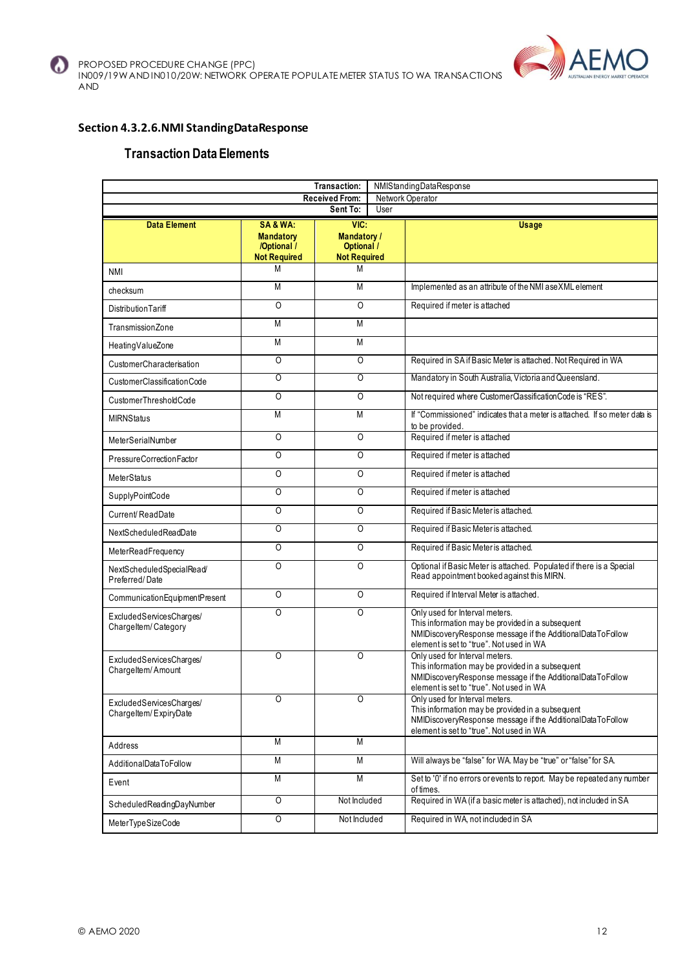

#### **Section 4.3.2.6.NMI StandingDataResponse**

#### **Transaction Data Elements**

|                                                   | <b>Transaction:</b><br>NMIStandingDataResponse                   |                                                                        |      |                                                                                                                                                                                              |  |                                                                                                                                                                                              |
|---------------------------------------------------|------------------------------------------------------------------|------------------------------------------------------------------------|------|----------------------------------------------------------------------------------------------------------------------------------------------------------------------------------------------|--|----------------------------------------------------------------------------------------------------------------------------------------------------------------------------------------------|
|                                                   |                                                                  | <b>Received From:</b>                                                  |      | Network Operator                                                                                                                                                                             |  |                                                                                                                                                                                              |
|                                                   |                                                                  | Sent To:                                                               | User |                                                                                                                                                                                              |  |                                                                                                                                                                                              |
| <b>Data Element</b>                               | SA&WA:<br><b>Mandatory</b><br>/Optional /<br><b>Not Required</b> | VIC:<br><b>Mandatory /</b><br><b>Optional /</b><br><b>Not Required</b> |      | <b>Usage</b>                                                                                                                                                                                 |  |                                                                                                                                                                                              |
| NMI                                               | M                                                                | M                                                                      |      |                                                                                                                                                                                              |  |                                                                                                                                                                                              |
| checksum                                          | M                                                                | M                                                                      |      | Implemented as an attribute of the NMI aseXML element                                                                                                                                        |  |                                                                                                                                                                                              |
| DistributionTariff                                | O                                                                | O                                                                      |      | Required if meter is attached                                                                                                                                                                |  |                                                                                                                                                                                              |
| TransmissionZone                                  | M                                                                | M                                                                      |      |                                                                                                                                                                                              |  |                                                                                                                                                                                              |
| HeatingValueZone                                  | M                                                                | M                                                                      |      |                                                                                                                                                                                              |  |                                                                                                                                                                                              |
| CustomerCharacterisation                          | O                                                                | O                                                                      |      | Required in SA if Basic Meter is attached. Not Required in WA                                                                                                                                |  |                                                                                                                                                                                              |
| CustomerClassificationCode                        | 0                                                                | 0                                                                      |      | Mandatory in South Australia, Victoria and Queensland.                                                                                                                                       |  |                                                                                                                                                                                              |
| CustomerThresholdCode                             | $\overline{0}$                                                   | O                                                                      |      | Not required where CustomerClassificationCode is "RES".                                                                                                                                      |  |                                                                                                                                                                                              |
| <b>MIRNStatus</b>                                 | M                                                                | M                                                                      |      | If "Commissioned" indicates that a meter is attached. If so meter data is<br>to be provided.                                                                                                 |  |                                                                                                                                                                                              |
| MeterSerialNumber                                 | $\overline{0}$                                                   | $\overline{0}$                                                         |      | Required if meter is attached                                                                                                                                                                |  |                                                                                                                                                                                              |
| PressureCorrectionFactor                          | $\overline{0}$                                                   | $\overline{0}$                                                         |      | Required if meter is attached                                                                                                                                                                |  |                                                                                                                                                                                              |
| <b>MeterStatus</b>                                | $\overline{O}$                                                   | $\overline{0}$                                                         |      | Required if meter is attached                                                                                                                                                                |  |                                                                                                                                                                                              |
| SupplyPointCode                                   | $\overline{0}$                                                   | O                                                                      |      | Required if meter is attached                                                                                                                                                                |  |                                                                                                                                                                                              |
| Current/ReadDate                                  | $\overline{0}$                                                   | $\overline{0}$                                                         |      | Required if Basic Meter is attached.                                                                                                                                                         |  |                                                                                                                                                                                              |
| NextScheduledReadDate                             | O                                                                | O                                                                      |      | Required if Basic Meter is attached.                                                                                                                                                         |  |                                                                                                                                                                                              |
| MeterReadFrequency                                | O                                                                | 0                                                                      |      | Required if Basic Meter is attached.                                                                                                                                                         |  |                                                                                                                                                                                              |
| NextScheduledSpecialRead/<br>Preferred/Date       | $\overline{0}$                                                   | O                                                                      |      | Optional if Basic Meter is attached. Populated if there is a Special<br>Read appointment booked against this MIRN.                                                                           |  |                                                                                                                                                                                              |
| CommunicationEquipmentPresent                     | $\overline{0}$                                                   | $\overline{0}$                                                         |      | Required if Interval Meter is attached.                                                                                                                                                      |  |                                                                                                                                                                                              |
| ExcludedServicesCharges/<br>Chargeltem/Category   | $\Omega$                                                         | O                                                                      |      | Only used for Interval meters.<br>This information may be provided in a subsequent<br>NMIDiscoveryResponse message if the AdditionalDataToFollow<br>element is set to "true". Not used in WA |  |                                                                                                                                                                                              |
| ExcludedServicesCharges/<br>Chargeltem/Amount     | $\overline{0}$                                                   | $\overline{0}$                                                         |      | Only used for Interval meters.<br>This information may be provided in a subsequent<br>NMIDiscoveryResponse message if the AdditionalDataToFollow<br>element is set to "true". Not used in WA |  |                                                                                                                                                                                              |
| ExcludedServicesCharges/<br>Chargeltem/ExpiryDate | 0                                                                | 0                                                                      |      |                                                                                                                                                                                              |  | Only used for Interval meters.<br>This information may be provided in a subsequent<br>NMIDiscoveryResponse message if the AdditionalDataToFollow<br>element is set to "true". Not used in WA |
| Address                                           | M                                                                | M                                                                      |      |                                                                                                                                                                                              |  |                                                                                                                                                                                              |
| AdditionalDataToFollow                            | M                                                                | M                                                                      |      | Will always be "false" for WA. May be "true" or "false" for SA.                                                                                                                              |  |                                                                                                                                                                                              |
| Event                                             | M                                                                | M                                                                      |      | Set to '0' if no errors or events to report. May be repeated any number<br>of times.                                                                                                         |  |                                                                                                                                                                                              |
| ScheduledReadingDayNumber                         | $\overline{O}$                                                   | Not Included                                                           |      | Required in WA (if a basic meter is attached), not included in SA                                                                                                                            |  |                                                                                                                                                                                              |
| MeterTypeSizeCode                                 | $\overline{0}$                                                   | Not Included                                                           |      | Required in WA, not included in SA                                                                                                                                                           |  |                                                                                                                                                                                              |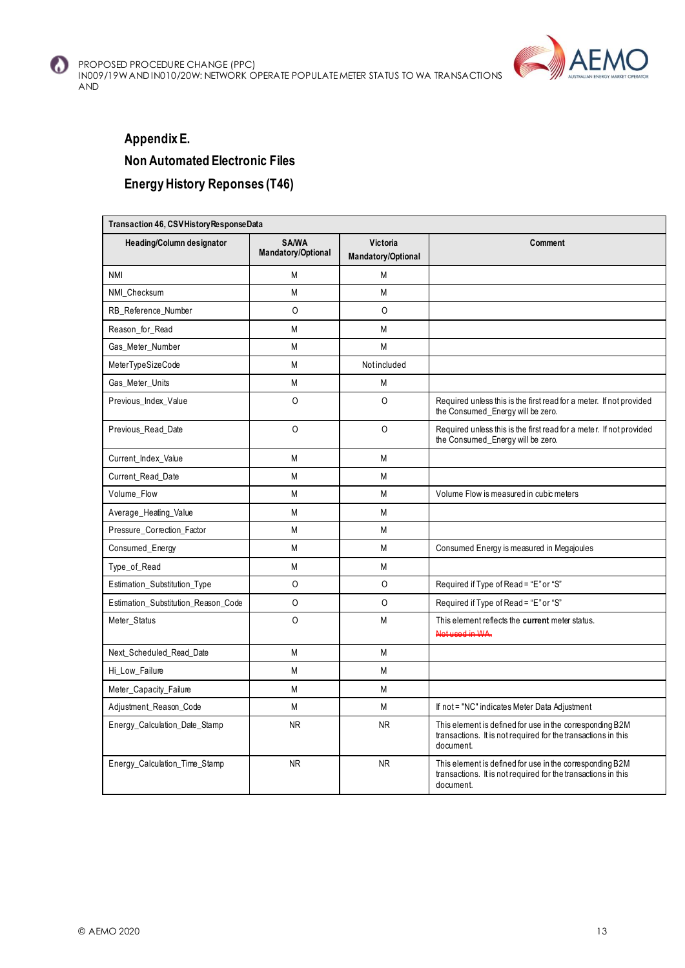



## **Appendix E. Non Automated Electronic Files Energy History Reponses (T46)**

|                                     | Transaction 46, CSVHistory ResponseData |                                |                                                                                                                                        |  |  |  |  |  |
|-------------------------------------|-----------------------------------------|--------------------------------|----------------------------------------------------------------------------------------------------------------------------------------|--|--|--|--|--|
| <b>Heading/Column designator</b>    | <b>SA/WA</b><br>Mandatory/Optional      | Victoria<br>Mandatory/Optional | Comment                                                                                                                                |  |  |  |  |  |
| <b>NMI</b>                          | M                                       | M                              |                                                                                                                                        |  |  |  |  |  |
| NMI Checksum                        | M                                       | M                              |                                                                                                                                        |  |  |  |  |  |
| RB_Reference_Number                 | $\Omega$                                | $\Omega$                       |                                                                                                                                        |  |  |  |  |  |
| Reason_for_Read                     | M                                       | M                              |                                                                                                                                        |  |  |  |  |  |
| Gas_Meter_Number                    | M                                       | M                              |                                                                                                                                        |  |  |  |  |  |
| MeterTypeSizeCode                   | M                                       | Not included                   |                                                                                                                                        |  |  |  |  |  |
| Gas_Meter_Units                     | М                                       | M                              |                                                                                                                                        |  |  |  |  |  |
| Previous_Index_Value                | $\circ$                                 | 0                              | Required unless this is the first read for a meter. If not provided<br>the Consumed_Energy will be zero.                               |  |  |  |  |  |
| Previous Read Date                  | $\circ$                                 | $\circ$                        | Required unless this is the first read for a meter. If not provided<br>the Consumed_Energy will be zero.                               |  |  |  |  |  |
| Current_Index_Value                 | М                                       | M                              |                                                                                                                                        |  |  |  |  |  |
| Current_Read_Date                   | M                                       | M                              |                                                                                                                                        |  |  |  |  |  |
| Volume_Flow                         | M                                       | M                              | Volume Flow is measured in cubic meters                                                                                                |  |  |  |  |  |
| Average_Heating_Value               | M                                       | M                              |                                                                                                                                        |  |  |  |  |  |
| Pressure Correction Factor          | M                                       | M                              |                                                                                                                                        |  |  |  |  |  |
| Consumed_Energy                     | M                                       | M                              | Consumed Energy is measured in Megajoules                                                                                              |  |  |  |  |  |
| Type_of_Read                        | М                                       | M                              |                                                                                                                                        |  |  |  |  |  |
| Estimation_Substitution_Type        | 0                                       | 0                              | Required if Type of Read = "E" or "S"                                                                                                  |  |  |  |  |  |
| Estimation_Substitution_Reason_Code | $\circ$                                 | $\circ$                        | Required if Type of Read = "E" or "S"                                                                                                  |  |  |  |  |  |
| Meter_Status                        | $\Omega$                                | M                              | This element reflects the current meter status.<br>Not used in WA.                                                                     |  |  |  |  |  |
| Next_Scheduled_Read_Date            | M                                       | M                              |                                                                                                                                        |  |  |  |  |  |
| Hi_Low_Failure                      | M                                       | M                              |                                                                                                                                        |  |  |  |  |  |
| Meter_Capacity_Failure              | M                                       | M                              |                                                                                                                                        |  |  |  |  |  |
| Adjustment_Reason_Code              | M                                       | M                              | If not = "NC" indicates Meter Data Adjustment                                                                                          |  |  |  |  |  |
| Energy_Calculation_Date_Stamp       | NR.                                     | <b>NR</b>                      | This element is defined for use in the corresponding B2M<br>transactions. It is not required for the transactions in this<br>document. |  |  |  |  |  |
| Energy_Calculation_Time_Stamp       | <b>NR</b>                               | <b>NR</b>                      | This element is defined for use in the corresponding B2M<br>transactions. It is not required for the transactions in this<br>document. |  |  |  |  |  |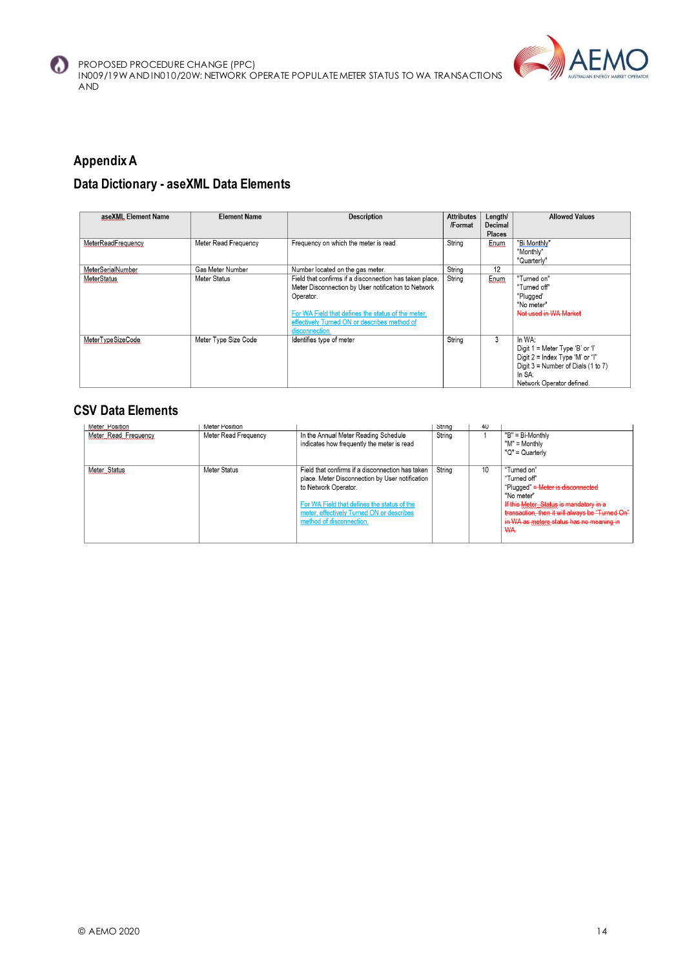



## **Appendix A**

## **Data Dictionary - aseXML Data Elements**

| aseXML Element Name | <b>Element Name</b>  | <b>Description</b>                                                                                                                                                                                                                                  | <b>Attributes</b><br>/Format | Length/<br>Decimal<br><b>Places</b> | <b>Allowed Values</b>                                                                                                                                       |
|---------------------|----------------------|-----------------------------------------------------------------------------------------------------------------------------------------------------------------------------------------------------------------------------------------------------|------------------------------|-------------------------------------|-------------------------------------------------------------------------------------------------------------------------------------------------------------|
| MeterReadFrequency  | Meter Read Frequency | Frequency on which the meter is read                                                                                                                                                                                                                | String                       | Enum                                | "Bi Monthly"<br>"Monthly"<br>"Quarterly"                                                                                                                    |
| MeterSerialNumber   | Gas Meter Number     | Number located on the gas meter.                                                                                                                                                                                                                    | String                       | 12                                  |                                                                                                                                                             |
| MeterStatus         | Meter Status         | Field that confirms if a disconnection has taken place.<br>Meter Disconnection by User notification to Network<br>Operator.<br>For WA Field that defines the status of the meter.<br>effectively Turned ON or describes method of<br>disconnection. | String                       | Enum                                | "Turned on"<br>"Turned off"<br>"Plugged"<br>"No meter"<br>Not used in WA Market                                                                             |
| MeterTypeSizeCode   | Meter Type Size Code | Identifies type of meter                                                                                                                                                                                                                            | String                       | 3                                   | In WA:<br>Digit 1 = Meter Type 'B' or 'I'<br>Digit 2 = Index Type 'M' or "I"<br>Digit $3 =$ Number of Dials (1 to 7)<br>In SA:<br>Network Operator defined. |

## **CSV Data Elements**

| vieter Position      | <b>IVIETEL POSITION</b> |                                                  | <b>String</b> | 4U |                                                 |
|----------------------|-------------------------|--------------------------------------------------|---------------|----|-------------------------------------------------|
| Meter Read Frequency | Meter Read Frequency    | In the Annual Meter Reading Schedule             | String        |    | "B" = Bi-Monthly                                |
|                      |                         | indicates how frequently the meter is read       |               |    | "M" = Monthly                                   |
|                      |                         |                                                  |               |    | "Q" = Quarterly                                 |
| Meter_Status         | Meter Status            | Field that confirms if a disconnection has taken | String        | 10 | "Turned on"                                     |
|                      |                         | place. Meter Disconnection by User notification  |               |    | "Turned off"                                    |
|                      |                         |                                                  |               |    |                                                 |
|                      |                         | to Network Operator.                             |               |    | "Plugged" = Meter is disconnected               |
|                      |                         |                                                  |               |    | "No meter"                                      |
|                      |                         | For WA Field that defines the status of the      |               |    | If this Meter Status is mandatory in a          |
|                      |                         | meter, effectively Turned ON or describes        |               |    | transaction, then it will always be "Turned On" |
|                      |                         | method of disconnection.                         |               |    | in WA as metere status has no meaning in        |
|                      |                         |                                                  |               |    | WA.                                             |
|                      |                         |                                                  |               |    |                                                 |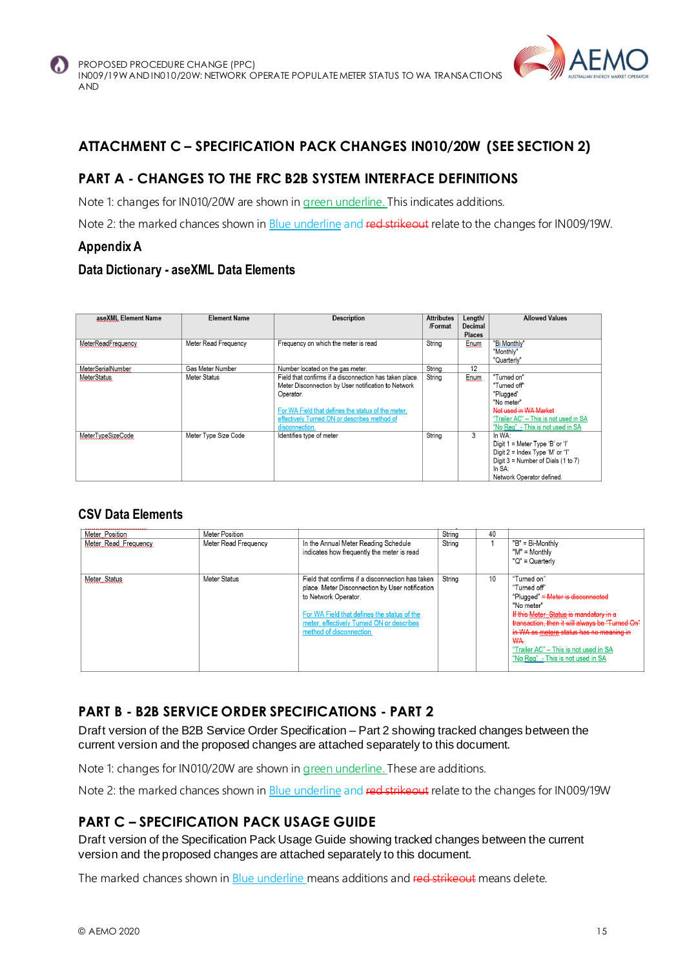

## **ATTACHMENT C – SPECIFICATION PACK CHANGES IN010/20W (SEE SECTION 2)**

## **PART A - CHANGES TO THE FRC B2B SYSTEM INTERFACE DEFINITIONS**

Note 1: changes for IN010/20W are shown in green underline. This indicates additions.

Note 2: the marked chances shown in **Blue underline and red strikeout** relate to the changes for IN009/19W.

#### **Appendix A**

#### **Data Dictionary - aseXML Data Elements**

| aseXML Element Name | <b>Element Name</b>  | <b>Description</b>                                      | <b>Attributes</b> | Length/       | <b>Allowed Values</b>                 |
|---------------------|----------------------|---------------------------------------------------------|-------------------|---------------|---------------------------------------|
|                     |                      |                                                         | /Format           | Decimal       |                                       |
|                     |                      |                                                         |                   | <b>Places</b> |                                       |
| MeterReadFrequency  | Meter Read Frequency | Frequency on which the meter is read                    | String            | Enum          | "Bi Monthly"                          |
|                     |                      |                                                         |                   |               | "Monthly"                             |
|                     |                      |                                                         |                   |               | "Quarterly"                           |
| MeterSerialNumber   | Gas Meter Number     | Number located on the gas meter.                        | String            | 12            |                                       |
| <b>MeterStatus</b>  | Meter Status         | Field that confirms if a disconnection has taken place. | String            | Enum.         | "Turned on"                           |
|                     |                      | Meter Disconnection by User notification to Network     |                   |               | "Turned off"                          |
|                     |                      | Operator.                                               |                   |               | "Plugged"                             |
|                     |                      |                                                         |                   |               | "No meter"                            |
|                     |                      | For WA Field that defines the status of the meter,      |                   |               | Not used in WA Market                 |
|                     |                      | effectively Turned ON or describes method of            |                   |               | "Trailer AC" - This is not used in SA |
|                     |                      | disconnection.                                          |                   |               | "No Rea" - This is not used in SA     |
| MeterTypeSizeCode   | Meter Type Size Code | Identifies type of meter                                | String            | 3             | In WA:                                |
|                     |                      |                                                         |                   |               | Digit 1 = Meter Type 'B' or 'I'       |
|                     |                      |                                                         |                   |               | Digit 2 = Index Type 'M' or "I"       |
|                     |                      |                                                         |                   |               | Digit 3 = Number of Dials (1 to 7)    |
|                     |                      |                                                         |                   |               | In SA:                                |
|                     |                      |                                                         |                   |               | Network Operator defined.             |

#### **CSV Data Elements**

| Meter Position<br>Meter Read Frequency | Meter Position<br>Meter Read Frequency | In the Annual Meter Reading Schedule<br>indicates how frequently the meter is read                                                                                                                                                                  | String<br>String | 40 | "B" = Bi-Monthly<br>"M" = Monthly<br>"Q" = Quarterly                                                                                                                                                                                                                                                                |
|----------------------------------------|----------------------------------------|-----------------------------------------------------------------------------------------------------------------------------------------------------------------------------------------------------------------------------------------------------|------------------|----|---------------------------------------------------------------------------------------------------------------------------------------------------------------------------------------------------------------------------------------------------------------------------------------------------------------------|
| Meter Status                           | Meter Status                           | Field that confirms if a disconnection has taken<br>place. Meter Disconnection by User notification<br>to Network Operator.<br>For WA Field that defines the status of the<br>meter, effectively Turned ON or describes<br>method of disconnection. | String           | 10 | "Turned on"<br>"Turned off"<br>"Plugged" = Meter is disconnected<br>"No meter"<br>If this Meter Status is mandatory in a<br>transaction, then it will always be "Turned On"<br>in WA as metere status has no meaning in<br>WA.<br>"Trailer AC" - This is not used in SA<br>"No <u>Req" -</u> This is not used in SA |

## **PART B - B2B SERVICE ORDER SPECIFICATIONS - PART 2**

Draft version of the B2B Service Order Specification – Part 2 showing tracked changes between the current version and the proposed changes are attached separately to this document.

Note 1: changes for IN010/20W are shown in green underline. These are additions.

Note 2: the marked chances shown in Blue underline and red strikeout relate to the changes for IN009/19W

## **PART C – SPECIFICATION PACK USAGE GUIDE**

Draft version of the Specification Pack Usage Guide showing tracked changes between the current version and the proposed changes are attached separately to this document.

The marked chances shown in **Blue underline** means additions and red strikeout means delete.